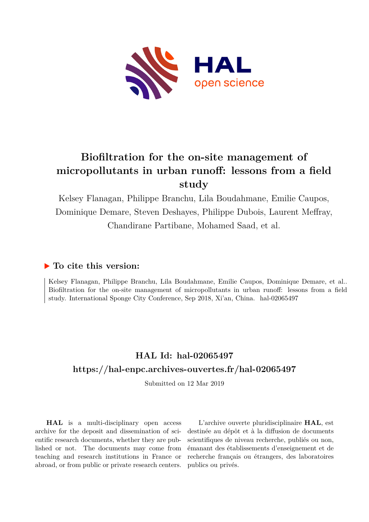

# **Biofiltration for the on-site management of micropollutants in urban runoff: lessons from a field study**

Kelsey Flanagan, Philippe Branchu, Lila Boudahmane, Emilie Caupos, Dominique Demare, Steven Deshayes, Philippe Dubois, Laurent Meffray, Chandirane Partibane, Mohamed Saad, et al.

# **To cite this version:**

Kelsey Flanagan, Philippe Branchu, Lila Boudahmane, Emilie Caupos, Dominique Demare, et al.. Biofiltration for the on-site management of micropollutants in urban runoff: lessons from a field study. International Sponge City Conference, Sep 2018, Xi'an, China. hal-02065497

# **HAL Id: hal-02065497 <https://hal-enpc.archives-ouvertes.fr/hal-02065497>**

Submitted on 12 Mar 2019

**HAL** is a multi-disciplinary open access archive for the deposit and dissemination of scientific research documents, whether they are published or not. The documents may come from teaching and research institutions in France or abroad, or from public or private research centers.

L'archive ouverte pluridisciplinaire **HAL**, est destinée au dépôt et à la diffusion de documents scientifiques de niveau recherche, publiés ou non, émanant des établissements d'enseignement et de recherche français ou étrangers, des laboratoires publics ou privés.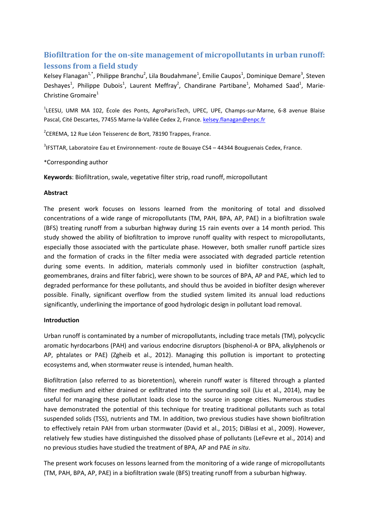## **Biofiltration for the on-site management of micropollutants in urban runoff: lessons from a field study**

Kelsey Flanagan<sup>1,\*</sup>, Philippe Branchu<sup>2</sup>, Lila Boudahmane<sup>1</sup>, Emilie Caupos<sup>1</sup>, Dominique Demare<sup>3</sup>, Steven Deshayes<sup>1</sup>, Philippe Dubois<sup>1</sup>, Laurent Meffray<sup>2</sup>, Chandirane Partibane<sup>1</sup>, Mohamed Saad<sup>1</sup>, Marie-Christine Gromaire $1$ 

<sup>1</sup>LEESU, UMR MA 102, École des Ponts, AgroParisTech, UPEC, UPE, Champs-sur-Marne, 6-8 avenue Blaise Pascal, Cité Descartes, 77455 Marne-la-Vallée Cedex 2, France. kelsey.flanagan@enpc.fr

<sup>2</sup>CEREMA, 12 Rue Léon Teisserenc de Bort, 78190 Trappes, France.

<sup>3</sup>IFSTTAR, Laboratoire Eau et Environnement- route de Bouaye CS4 – 44344 Bouguenais Cedex, France.

\*Corresponding author

**Keywords**: Biofiltration, swale, vegetative filter strip, road runoff, micropollutant

#### **Abstract**

The present work focuses on lessons learned from the monitoring of total and dissolved concentrations of a wide range of micropollutants (TM, PAH, BPA, AP, PAE) in a biofiltration swale (BFS) treating runoff from a suburban highway during 15 rain events over a 14 month period. This study showed the ability of biofiltration to improve runoff quality with respect to micropollutants, especially those associated with the particulate phase. However, both smaller runoff particle sizes and the formation of cracks in the filter media were associated with degraded particle retention during some events. In addition, materials commonly used in biofilter construction (asphalt, geomembranes, drains and filter fabric), were shown to be sources of BPA, AP and PAE, which led to degraded performance for these pollutants, and should thus be avoided in biofilter design wherever possible. Finally, significant overflow from the studied system limited its annual load reductions significantly, underlining the importance of good hydrologic design in pollutant load removal.

#### **Introduction**

Urban runoff is contaminated by a number of micropollutants, including trace metals (TM), polycyclic aromatic hyrdocarbons (PAH) and various endocrine disruptors (bisphenol-A or BPA, alkylphenols or AP, phtalates or PAE) (Zgheib et al., 2012). Managing this pollution is important to protecting ecosystems and, when stormwater reuse is intended, human health.

Biofiltration (also referred to as bioretention), wherein runoff water is filtered through a planted filter medium and either drained or exfiltrated into the surrounding soil (Liu et al., 2014), may be useful for managing these pollutant loads close to the source in sponge cities. Numerous studies have demonstrated the potential of this technique for treating traditional pollutants such as total suspended solids (TSS), nutrients and TM. In addition, two previous studies have shown biofiltration to effectively retain PAH from urban stormwater (David et al., 2015; DiBlasi et al., 2009). However, relatively few studies have distinguished the dissolved phase of pollutants (LeFevre et al., 2014) and no previous studies have studied the treatment of BPA, AP and PAE *in situ*.

The present work focuses on lessons learned from the monitoring of a wide range of micropollutants (TM, PAH, BPA, AP, PAE) in a biofiltration swale (BFS) treating runoff from a suburban highway.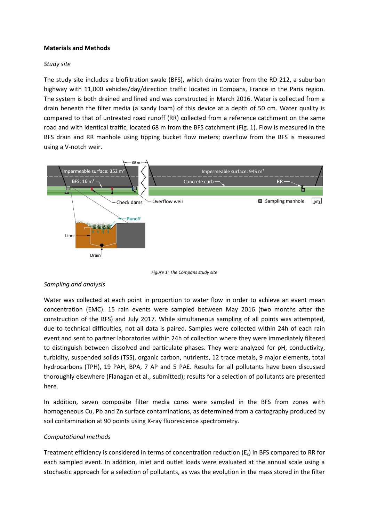#### **Materials and Methods**

#### *Study site*

The study site includes a biofiltration swale (BFS), which drains water from the RD 212, a suburban highway with 11,000 vehicles/day/direction traffic located in Compans, France in the Paris region. The system is both drained and lined and was constructed in March 2016. Water is collected from a drain beneath the filter media (a sandy loam) of this device at a depth of 50 cm. Water quality is compared to that of untreated road runoff (RR) collected from a reference catchment on the same road and with identical traffic, located 68 m from the BFS catchment (Fig. 1). Flow is measured in the BFS drain and RR manhole using tipping bucket flow meters; overflow from the BFS is measured using a V-notch weir.



*Figure 1: The Compans study site*

#### *Sampling and analysis*

Water was collected at each point in proportion to water flow in order to achieve an event mean concentration (EMC). 15 rain events were sampled between May 2016 (two months after the construction of the BFS) and July 2017. While simultaneous sampling of all points was attempted, due to technical difficulties, not all data is paired. Samples were collected within 24h of each rain event and sent to partner laboratories within 24h of collection where they were immediately filtered to distinguish between dissolved and particulate phases. They were analyzed for pH, conductivity, turbidity, suspended solids (TSS), organic carbon, nutrients, 12 trace metals, 9 major elements, total hydrocarbons (TPH), 19 PAH, BPA, 7 AP and 5 PAE. Results for all pollutants have been discussed thoroughly elsewhere (Flanagan et al., submitted); results for a selection of pollutants are presented here.

In addition, seven composite filter media cores were sampled in the BFS from zones with homogeneous Cu, Pb and Zn surface contaminations, as determined from a cartography produced by soil contamination at 90 points using X-ray fluorescence spectrometry.

#### *Computational methods*

Treatment efficiency is considered in terms of concentration reduction  $(E_c)$  in BFS compared to RR for each sampled event. In addition, inlet and outlet loads were evaluated at the annual scale using a stochastic approach for a selection of pollutants, as was the evolution in the mass stored in the filter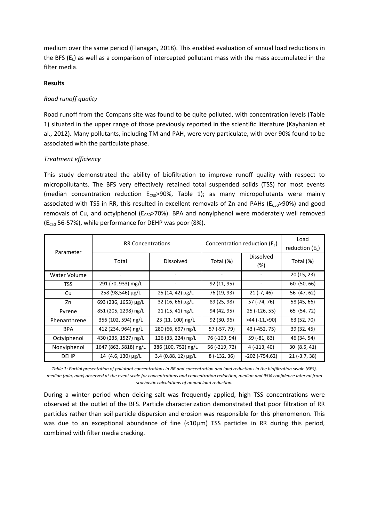medium over the same period (Flanagan, 2018). This enabled evaluation of annual load reductions in the BFS (E<sub>L</sub>) as well as a comparison of intercepted pollutant mass with the mass accumulated in the filter media.

#### **Results**

## *Road runoff quality*

Road runoff from the Compans site was found to be quite polluted, with concentration levels (Table 1) situated in the upper range of those previously reported in the scientific literature (Kayhanian et al., 2012). Many pollutants, including TM and PAH, were very particulate, with over 90% found to be associated with the particulate phase.

## *Treatment efficiency*

This study demonstrated the ability of biofiltration to improve runoff quality with respect to micropollutants. The BFS very effectively retained total suspended solids (TSS) for most events (median concentration reduction  $E_{CSO} > 90\%$ , Table 1); as many micropollutants were mainly associated with TSS in RR, this resulted in excellent removals of Zn and PAHs ( $E_{CS0}$ >90%) and good removals of Cu, and octylphenol ( $E_{CS0}$ >70%). BPA and nonylphenol were moderately well removed ( $E<sub>C50</sub>$  56-57%), while performance for DEHP was poor (8%).

| Parameter    | <b>RR Concentrations</b> |                     | Concentration reduction $(E_c)$ |                         | Load<br>reduction $(E_L)$ |
|--------------|--------------------------|---------------------|---------------------------------|-------------------------|---------------------------|
|              | Total                    | <b>Dissolved</b>    | Total (%)                       | <b>Dissolved</b><br>(%) | Total (%)                 |
| Water Volume | ٠                        |                     |                                 |                         | 20(15, 23)                |
| <b>TSS</b>   | 291 (70, 933) mg/L       |                     | 92 (11, 95)                     |                         | 60 (50, 66)               |
| Cu           | 258 (98,546) µg/L        | 25 (14, 42) µg/L    | 76 (19, 93)                     | $21 (-7, 46)$           | 56 (47, 62)               |
| Zn           | 693 (236, 1653) µg/L     | 32 (16, 66) µg/L    | 89 (25, 98)                     | 57 (-74, 76)            | 58 (45, 66)               |
| Pyrene       | 851 (205, 2298) ng/L     | 21 (15, 41) ng/L    | 94 (42, 95)                     | 25 (-126, 55)           | 65 (54, 72)               |
| Phenanthrene | 356 (102, 594) ng/L      | 23 (11, 100) ng/L   | 92 (30, 96)                     | >44 (-11,>90)           | 63 (52, 70)               |
| <b>BPA</b>   | 412 (234, 964) ng/L      | 280 (66, 697) ng/L  | 57 (-57, 79)                    | 43 (-452, 75)           | 39 (32, 45)               |
| Octylphenol  | 430 (235, 1527) ng/L     | 126 (33, 224) ng/L  | 76 (-109, 94)                   | 59 (-81, 83)            | 46 (34, 54)               |
| Nonylphenol  | 1647 (863, 5818) ng/L    | 386 (100, 752) ng/L | 56 (-219, 72)                   | $4(-113, 40)$           | 30(8.5, 41)               |
| <b>DEHP</b>  | 14 (4.6, 130) μg/L       | 3.4 (0.88, 12) µg/L | $8(-132, 36)$                   | $-202$ ( $-754,62$ )    | $21 (-3.7, 38)$           |

*Table 1: Partial presentation of pollutant concentrations in RR and concentration and load reductions in the biofiltration swale (BFS), median (min, max) observed at the event scale for concentrations and concentration reduction, median and 95% confidence interval from stochastic calculations of annual load reduction.* 

During a winter period when deicing salt was frequently applied, high TSS concentrations were observed at the outlet of the BFS. Particle characterization demonstrated that poor filtration of RR particles rather than soil particle dispersion and erosion was responsible for this phenomenon. This was due to an exceptional abundance of fine (<10µm) TSS particles in RR during this period, combined with filter media cracking.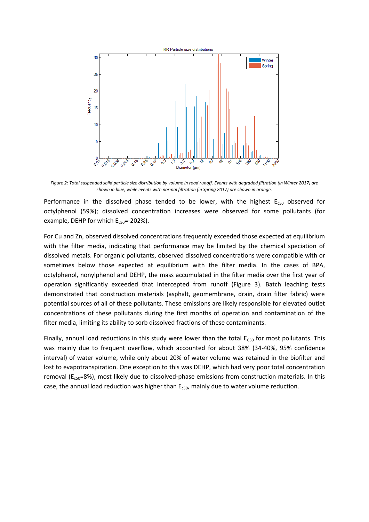

*Figure 2: Total suspended solid particle size distribution by volume in road runoff. Events with degraded filtration (in Winter 2017) are shown in blue, while events with normal filtration (in Spring 2017) are shown in orange.*

Performance in the dissolved phase tended to be lower, with the highest  $E<sub>c50</sub>$  observed for octylphenol (59%); dissolved concentration increases were observed for some pollutants (for example, DEHP for which  $E_{c50}$ =-202%).

For Cu and Zn, observed dissolved concentrations frequently exceeded those expected at equilibrium with the filter media, indicating that performance may be limited by the chemical speciation of dissolved metals. For organic pollutants, observed dissolved concentrations were compatible with or sometimes below those expected at equilibrium with the filter media. In the cases of BPA, octylphenol, nonylphenol and DEHP, the mass accumulated in the filter media over the first year of operation significantly exceeded that intercepted from runoff (Figure 3). Batch leaching tests demonstrated that construction materials (asphalt, geomembrane, drain, drain filter fabric) were potential sources of all of these pollutants. These emissions are likely responsible for elevated outlet concentrations of these pollutants during the first months of operation and contamination of the filter media, limiting its ability to sorb dissolved fractions of these contaminants.

Finally, annual load reductions in this study were lower than the total  $E_{C50}$  for most pollutants. This was mainly due to frequent overflow, which accounted for about 38% (34-40%, 95% confidence interval) of water volume, while only about 20% of water volume was retained in the biofilter and lost to evapotranspiration. One exception to this was DEHP, which had very poor total concentration removal ( $E_{c50}=8%$ ), most likely due to dissolved-phase emissions from construction materials. In this case, the annual load reduction was higher than  $E<sub>c50</sub>$ , mainly due to water volume reduction.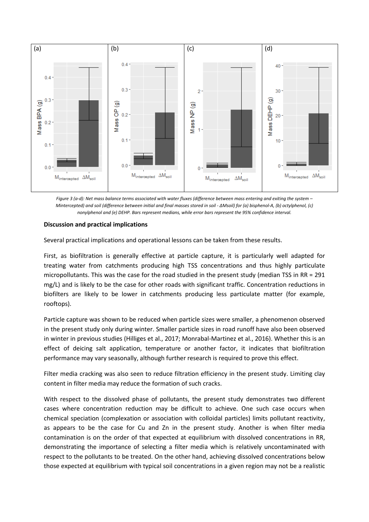

*Figure 3 (a-d): Net mass balance terms associated with water fluxes (difference between mass entering and exiting the system – Mintercepted) and soil (difference between initial and final masses stored in soil - ΔMsoil) for (a) bisphenol-A, (b) octylphenol, (c) nonylphenol and (e) DEHP. Bars represent medians, while error bars represent the 95% confidence interval.*

#### **Discussion and practical implications**

Several practical implications and operational lessons can be taken from these results.

First, as biofiltration is generally effective at particle capture, it is particularly well adapted for treating water from catchments producing high TSS concentrations and thus highly particulate micropollutants. This was the case for the road studied in the present study (median TSS in RR =  $291$ mg/L) and is likely to be the case for other roads with significant traffic. Concentration reductions in biofilters are likely to be lower in catchments producing less particulate matter (for example, rooftops).

Particle capture was shown to be reduced when particle sizes were smaller, a phenomenon observed in the present study only during winter. Smaller particle sizes in road runoff have also been observed in winter in previous studies (Hilliges et al., 2017; Monrabal-Martinez et al., 2016). Whether this is an effect of deicing salt application, temperature or another factor, it indicates that biofiltration performance may vary seasonally, although further research is required to prove this effect.

Filter media cracking was also seen to reduce filtration efficiency in the present study. Limiting clay content in filter media may reduce the formation of such cracks.

With respect to the dissolved phase of pollutants, the present study demonstrates two different cases where concentration reduction may be difficult to achieve. One such case occurs when chemical speciation (complexation or association with colloidal particles) limits pollutant reactivity, as appears to be the case for Cu and Zn in the present study. Another is when filter media contamination is on the order of that expected at equilibrium with dissolved concentrations in RR, demonstrating the importance of selecting a filter media which is relatively uncontaminated with respect to the pollutants to be treated. On the other hand, achieving dissolved concentrations below those expected at equilibrium with typical soil concentrations in a given region may not be a realistic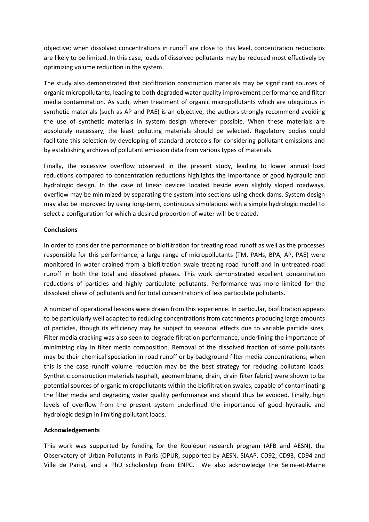objective; when dissolved concentrations in runoff are close to this level, concentration reductions are likely to be limited. In this case, loads of dissolved pollutants may be reduced most effectively by optimizing volume reduction in the system.

The study also demonstrated that biofiltration construction materials may be significant sources of organic micropollutants, leading to both degraded water quality improvement performance and filter media contamination. As such, when treatment of organic micropollutants which are ubiquitous in synthetic materials (such as AP and PAE) is an objective, the authors strongly recommend avoiding the use of synthetic materials in system design wherever possible. When these materials are absolutely necessary, the least polluting materials should be selected. Regulatory bodies could facilitate this selection by developing of standard protocols for considering pollutant emissions and by establishing archives of pollutant emission data from various types of materials.

Finally, the excessive overflow observed in the present study, leading to lower annual load reductions compared to concentration reductions highlights the importance of good hydraulic and hydrologic design. In the case of linear devices located beside even slightly sloped roadways, overflow may be minimized by separating the system into sections using check dams. System design may also be improved by using long-term, continuous simulations with a simple hydrologic model to select a configuration for which a desired proportion of water will be treated.

#### **Conclusions**

In order to consider the performance of biofiltration for treating road runoff as well as the processes responsible for this performance, a large range of micropollutants (TM, PAHs, BPA, AP, PAE) were monitored in water drained from a biofiltration swale treating road runoff and in untreated road runoff in both the total and dissolved phases. This work demonstrated excellent concentration reductions of particles and highly particulate pollutants. Performance was more limited for the dissolved phase of pollutants and for total concentrations of less particulate pollutants.

A number of operational lessons were drawn from this experience. In particular, biofiltration appears to be particularly well adapted to reducing concentrations from catchments producing large amounts of particles, though its efficiency may be subject to seasonal effects due to variable particle sizes. Filter media cracking was also seen to degrade filtration performance, underlining the importance of minimizing clay in filter media composition. Removal of the dissolved fraction of some pollutants may be their chemical speciation in road runoff or by background filter media concentrations; when this is the case runoff volume reduction may be the best strategy for reducing pollutant loads. Synthetic construction materials (asphalt, geomembrane, drain, drain filter fabric) were shown to be potential sources of organic micropollutants within the biofiltration swales, capable of contaminating the filter media and degrading water quality performance and should thus be avoided. Finally, high levels of overflow from the present system underlined the importance of good hydraulic and hydrologic design in limiting pollutant loads.

### **Acknowledgements**

This work was supported by funding for the Roulépur research program (AFB and AESN), the Observatory of Urban Pollutants in Paris (OPUR, supported by AESN, SIAAP, CD92, CD93, CD94 and Ville de Paris), and a PhD scholarship from ENPC. We also acknowledge the Seine-et-Marne